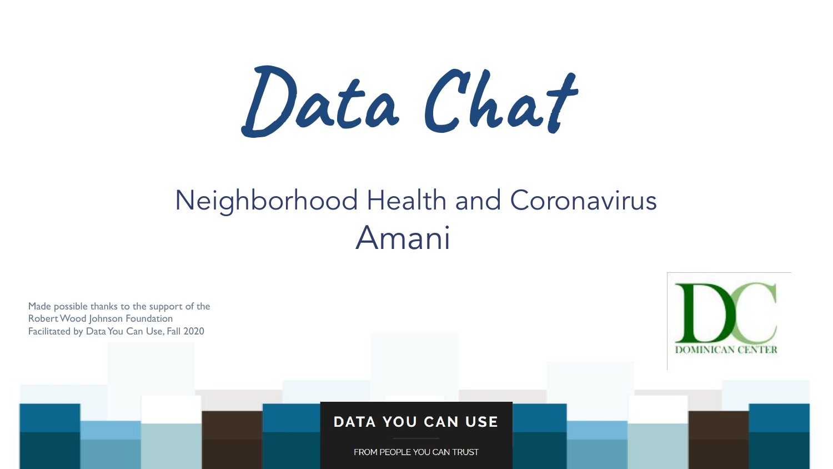**Data Chat**

## Neighborhood Health and Coronavirus Amani

Made possible thanks to the support of the Robert Wood Johnson Foundation Facilitated by Data You Can Use, Fall 2020

### **DATA YOU CAN USE**

FROM PEOPLE YOU CAN TRUST



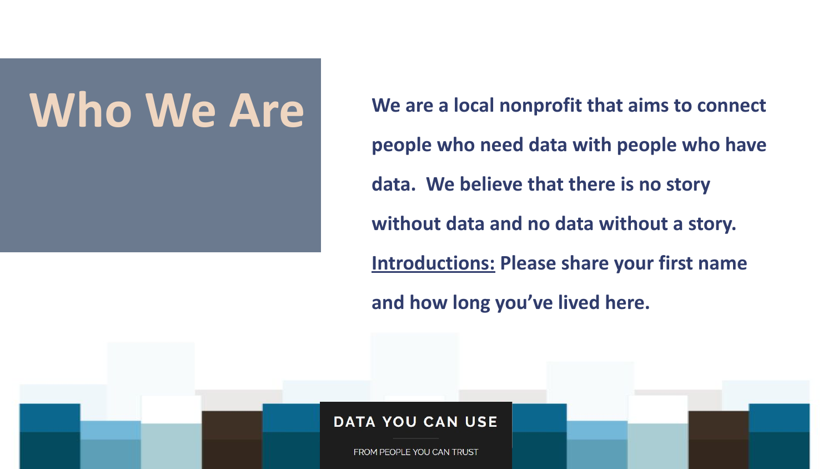- **people who need data with people who have**
- **data. We believe that there is no story**
- **without data and no data without a story.**
- **Introductions: Please share your first name** 
	-



## **Who We Are** We are a local nonprofit that aims to connect

**and how long you've lived here.**

### **DATA YOU CAN USE**

FROM PEOPLE YOU CAN TRUST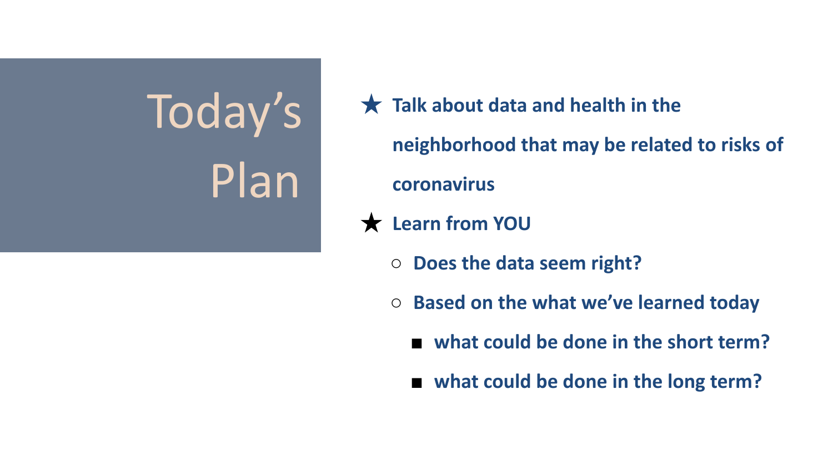# Today's Plan

## ★ **Talk about data and health in the**

- **○ Does the data seem right?**
- **○ Based on the what we've learned today**
	- **what could be done in the short term?**
	- **what could be done in the long term?**

**neighborhood that may be related to risks of** 

**coronavirus**

★ **Learn from YOU**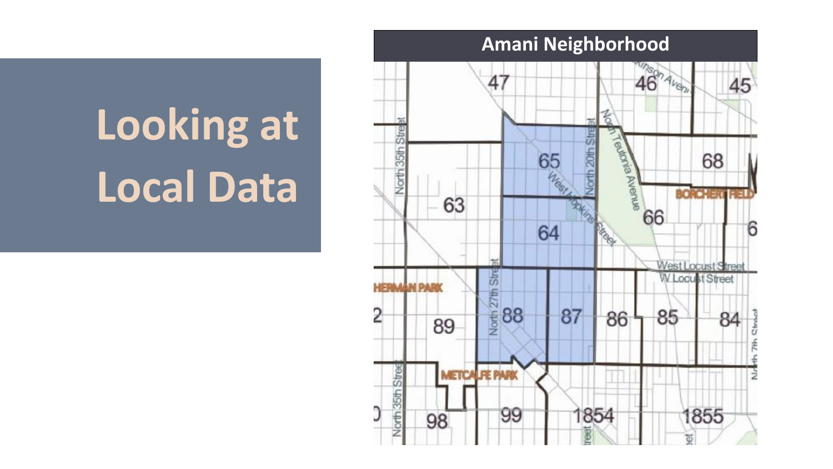# **Looking at Local Data**

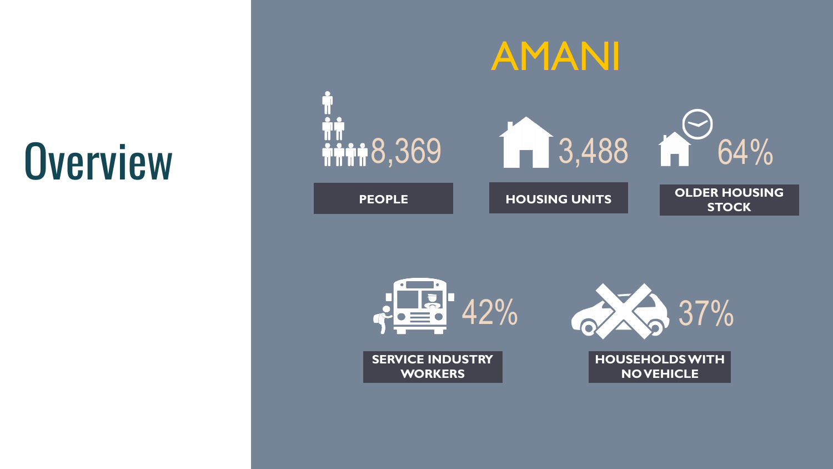









**STOCK**

**SERVICE INDUSTRY WORKERS**

### **HOUSEHOLDS WITH NO VEHICLE**

AMANI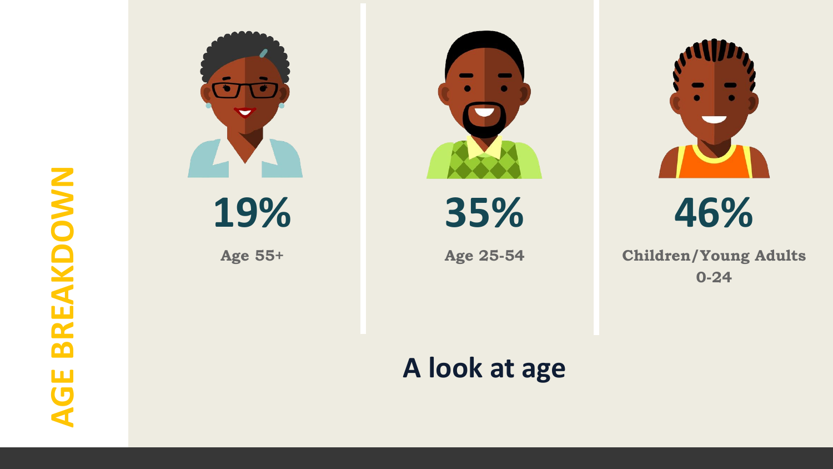# **AGE BREAKDOWN**



## **A look at age**



**19%**

**Age 55+**



**35%**

**Age 25-54**

## **46%**

### **Children/Young Adults 0-24**

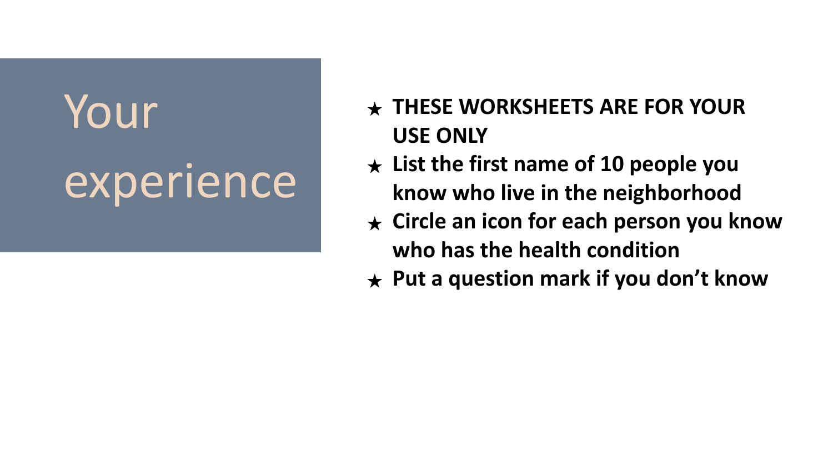# Your experience

## ★ **THESE WORKSHEETS ARE FOR YOUR**

- **USE ONLY**
- 
- 
- 

★ **List the first name of 10 people you know who live in the neighborhood** ★ **Circle an icon for each person you know who has the health condition** ★ **Put a question mark if you don't know**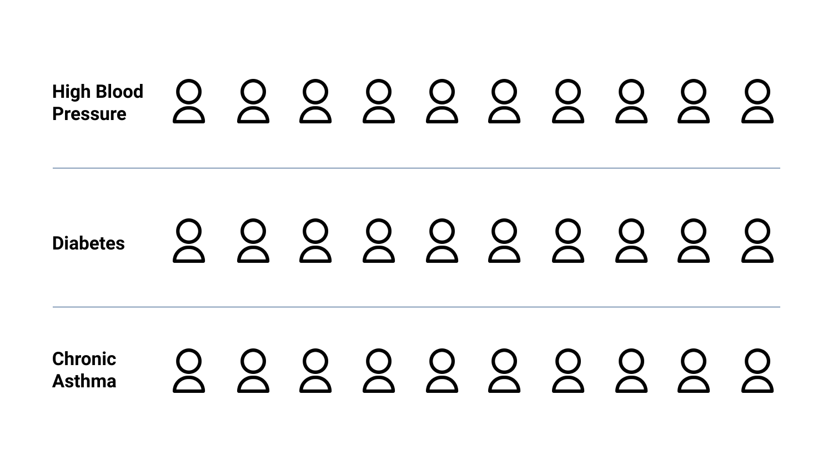## **High Blood Pressure**

## 2222222222 **Diabetes**

## 222222222 **Chronic Asthma**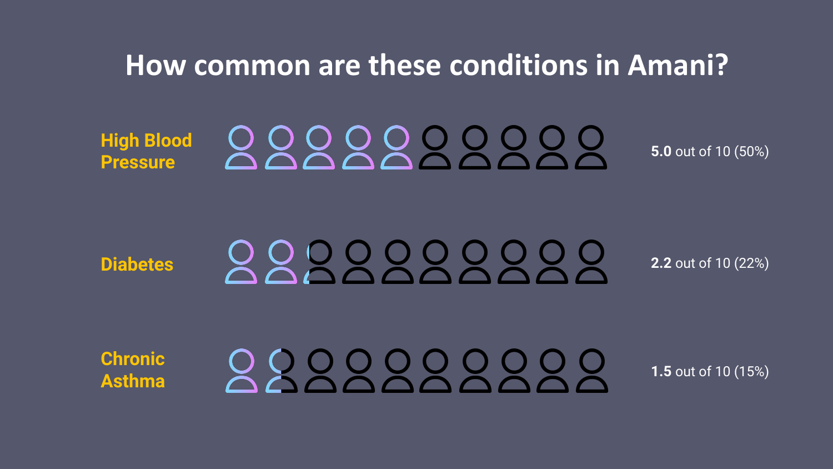## **How common are these conditions in Amani?**

**High Blood Pressure**

# 000000000

**Diabetes**

# 000000000

**Chronic Asthma**

# **000000**

**5.0** out of 10 (50%)

**2.2** out of 10 (22%)

**1.5** out of 10 (15%)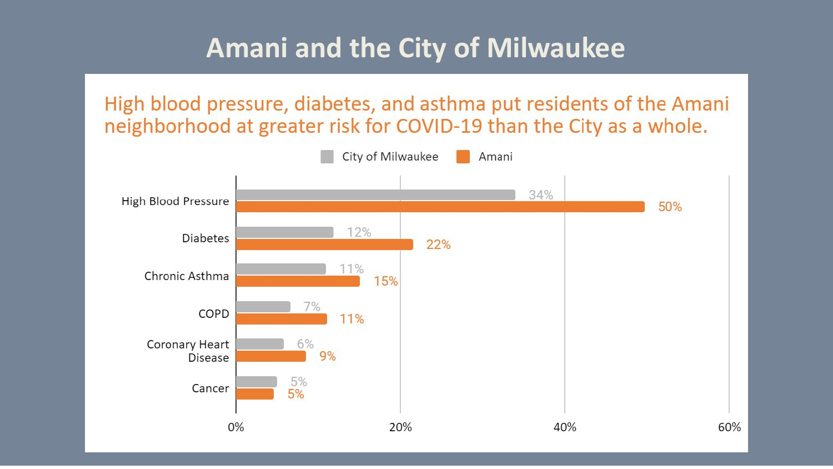## **Amani and the City of Milwaukee**

## High blood pressure, diabetes, and asthma put residents of the Amani neighborhood at greater risk for COVID-19 than the City as a whole.

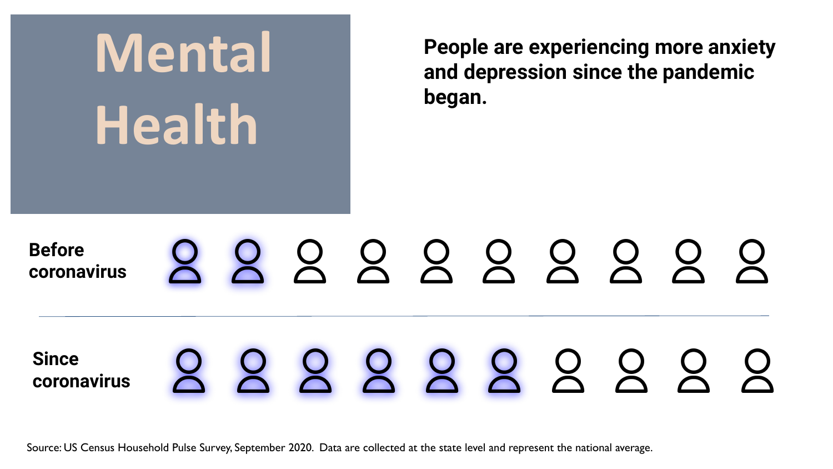## **People are experiencing more anxiety and depression since the pandemic**

**began.**

## **Before**  222232222 **coronavirus** 222222222 **Since coronavirus**

**Mental Health**

Source: US Census Household Pulse Survey, September 2020. Data are collected at the state level and represent the national average.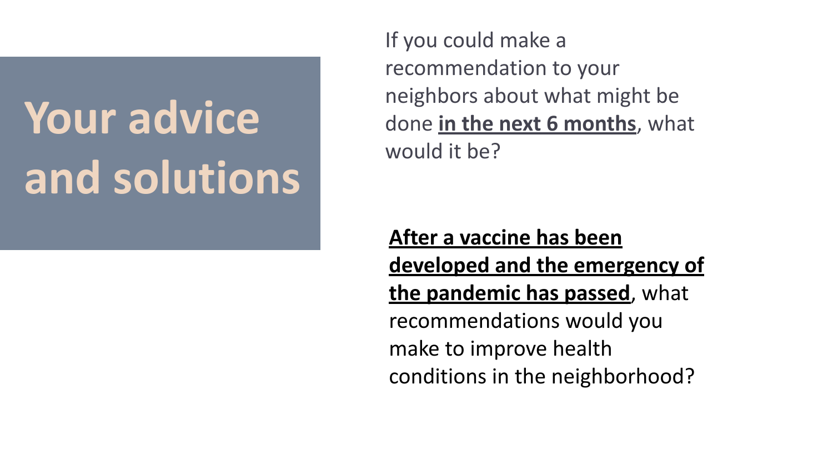If you could make a recommendation to your would it be?

# neighbors about what might be done **in the next 6 months**, what

# **Your advice and solutions**

**After a vaccine has been developed and the emergency of the pandemic has passed**, what recommendations would you make to improve health conditions in the neighborhood?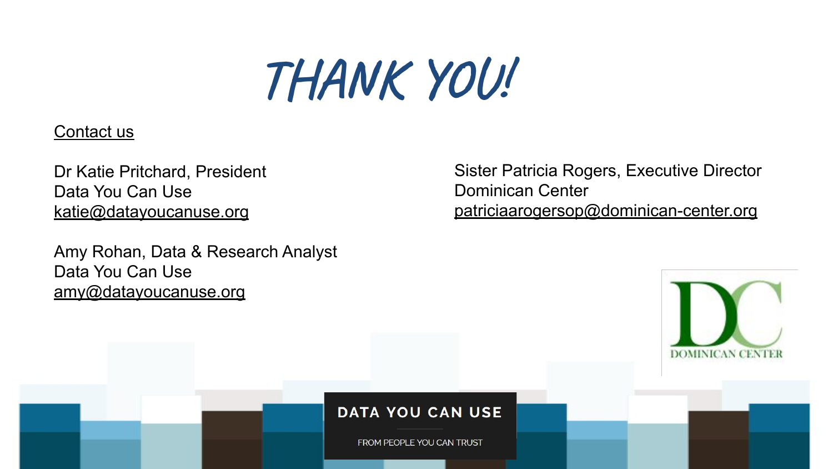# **THANK YOU!**

### Contact us

Dr Katie Pritchard, President Data You Can Use [katie@datayoucanuse.org](mailto:katie@datayoucanuse.org)

Amy Rohan, Data & Research Analyst Data You Can Use [amy@datayoucanuse.org](mailto:amy@datayoucanuse.org)

### **DATA YOU CAN USE**

FROM PEOPLE YOU CAN TRUST

## Sister Patricia Rogers, Executive Director Dominican Center [patriciaarogersop@dominican-center.org](mailto:patriciaarogersop@dominican-center.org)